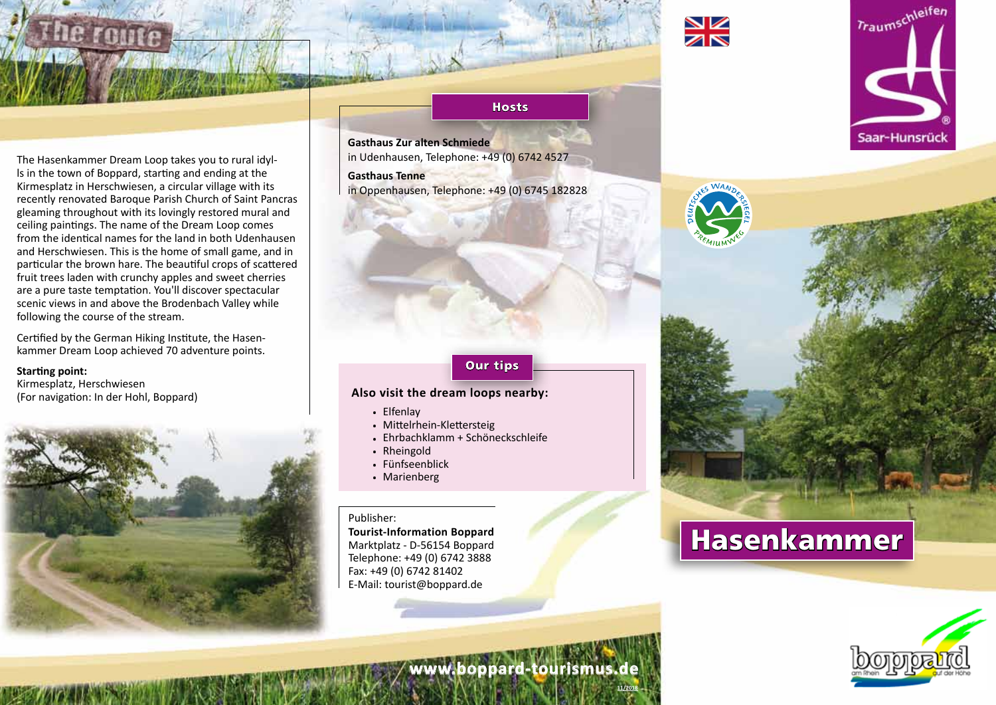

The Hasenkammer Dream Loop takes you to rural idylls in the town of Boppard, starting and ending at the Kirmesplatz in Herschwiesen, a circular village with its recently renovated Baroque Parish Church of Saint Pancras gleaming throughout with its lovingly restored mural and ceiling paintings. The name of the Dream Loop comes from the identical names for the land in both Udenhausen and Herschwiesen. This is the home of small game, and in particular the brown hare. The beautiful crops of scattered fruit trees laden with crunchy apples and sweet cherries are a pure taste temptation. You'll discover spectacular scenic views in and above the Brodenbach Valley while following the course of the stream.

Certified by the German Hiking Institute, the Hasenkammer Dream Loop achieved 70 adventure points.

#### **Starting point:**

Kirmesplatz, Herschwiesen (For navigation: In der Hohl, Boppard)



### **Hosts**

**Gasthaus Zur alten Schmiede**  in Udenhausen, Telephone: +49 (0) 6742 4527

**Gasthaus Tenne**  in Oppenhausen, Telephone: +49 (0) 6745 182828

# Our tips

## **Also visit the dream loops nearby:**

. Elfenlay

- . Mittelrhein-Klettersteig
- . Ehrbachklamm + Schöneckschleife
- . Rheingold
- . Fünfseenblick
- . Marienberg

#### Publisher:

**Tourist-Information Boppard** Marktplatz - D-56154 Boppard Telephone: +49 (0) 6742 3888 Fax: +49 (0) 6742 81402 E-Mail: tourist@boppard.de



# Hasenkammer



Traumschleifen

Saar-Hunsrück



**11/2018**